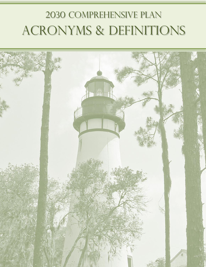## 2030 Comprehensive Plan Acronyms & Definitions

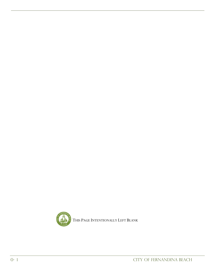

THIS PAGE INTENTIONALLY LEFT BLANK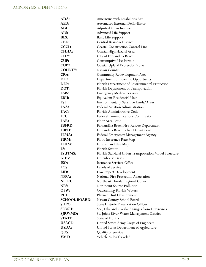| $ADA$ :              | Americans with Disabilities Act                       |
|----------------------|-------------------------------------------------------|
| AED:                 | Automated External Defibrillator                      |
| AGI:                 | <b>Adjusted Gross Income</b>                          |
| <b>ALS:</b>          | Advanced Life Support                                 |
| <b>BLS:</b>          | <b>Basic Life Support</b>                             |
| <b>CBD:</b>          | <b>Central Business District</b>                      |
| <b>CCCL:</b>         | <b>Coastal Construction Control Line</b>              |
| <b>CHHA:</b>         | Coastal High Hazard Area                              |
| CITY:                | City of Fernandina Beach                              |
| <b>CUP:</b>          | Consumptive Use Permit                                |
| <b>CUPZ:</b>         | <b>Coastal Upland Protection Zone</b>                 |
| <b>COUNTY:</b>       | Nassau County                                         |
| CRA:                 | Community Redevelopment Area                          |
| DEO:                 | Department of Econmic Opportunity                     |
| DEP:                 | Florida Department of Environmental Protection        |
| DOT:                 | Florida Department of Transportation                  |
| EMS:                 | <b>Emergency Medical Services</b>                     |
| ERU:                 | Equivalent Residential Unit                           |
| ESL:                 | Environmentally Sensitive Lands/Areas                 |
| FAA:                 | <b>Federal Aviation Administration</b>                |
| FAC:                 | Florida Administrative Code                           |
| FCC:                 | Federal Communications Commission                     |
| FAR:                 | Floor Area Ratio                                      |
| <b>FBFRD:</b>        | Fernandina Beach Fire-Rescue Department               |
| FBPD:                | Fernandina Beach Police Department                    |
| <b>FEMA:</b>         | Federal Emergency Management Agency                   |
| FIRM:                | Flood Insurance Rate Map                              |
| FLUM:                | Future Land Use Map                                   |
| FS:                  | Florida Statute                                       |
| <b>FSUTMS:</b>       | Florida Standard Urban Transportation Model Structure |
| GHG:                 | Greenhouse Gases                                      |
| ISO:                 | <b>Insurance Services Office</b>                      |
| LOS:                 | Levels of Service                                     |
| LID:                 | Low Impact Development                                |
| NFPA:                | National Fire Protection Association                  |
| <b>NEFRC:</b>        | Northeast Florida Regional Council                    |
| NPS:                 | Non-point Source Pollution                            |
| OFW:                 | <b>Outstanding Florida Waters</b>                     |
| PUD:                 | Planned Unit Development                              |
| <b>SCHOOL BOARD:</b> | Nassau County School Board                            |
| <b>SHPO:</b>         | <b>State Historic Preservation Officer</b>            |
| <b>SLOSH:</b>        | Sea, Lake and Overland Surges from Hurricanes         |
| <b>SJRWMD:</b>       | St. Johns River Water Management District             |
| <b>STATE:</b>        | State of Florida                                      |
| <b>USACE:</b>        | United States Army Corps of Engineers                 |
| USDA:                | United States Department of Agriculture               |
| QOS:                 |                                                       |
| VMT:                 | Quality of Service<br>Vehicle Miles Traveled          |
|                      |                                                       |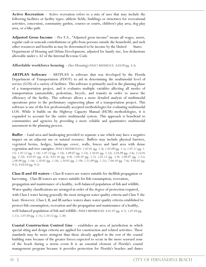**Active Recreation** – Active recreation refers to a mix of uses that may include the following facilities or facility types: athletic fields, buildings or structures for recreational activities, concession, community garden, courses or courts, children's play area, dog play area, or a bike path.

**Adjusted Gross Income** – Per F.S., "Adjusted gross income" means all wages, assets, regular cash or noncash contributions or gifts from persons outside the household, and such other resources and benefits as may be determined to be income by the United States Department of Housing and Urban Development, adjusted for family size, less deductions allowable under s. 62 of the Internal Revenue Code.

## **Affordable workforce housing** – (See Housing) *POLICY REFERENCE: 3.03.09 (pg. 3-3)*

**ARTPLAN Software** – ARTPLAN is software that was developed by the Florida Department of Transportation (FDOT) to aid in determining the multimodal level of service (LOS) of a variety of facilities. This software is primarily used in the planning phase of a transportation project, and it evaluates multiple variables affecting all modes of transportation (automobile, pedestrian, bicycle, and transit) in order to assess the efficiency of the facility. This software allows a more detailed analysis of multimodal operations prior to the preliminary engineering phase of a transportation project. This software is one of the few professionally accepted methodologies for evaluating multimodal LOS. While it builds on the Highway Capacity Manual (HCM) methodologies, it is expanded to account for the entire multimodal system. This approach is beneficial to communities and agencies by providing a more reliable and quantitative multimodal assessment in the planning process.

**Buffer** – Land area and landscaping provided to separate a use which may have a negative impact on an adjacent use or natural resource. Buffers may include physical barriers, vegetated berms, hedges, landscape cover, walls, fences and land area with dense vegetation and tree canopies. *POLICY REFERENCES: 1.02.05 (pg. 1-3), 1.02.09 (pg. 1-5), 1.07.11 (pg. 1- 17), 1.07.12 (pg. 1-18), 1.07.13 (pg. 1-18), 1.09.07 (pg. 1-22), 1.10.01 (pg. 1-22), 2.03.09 (pg. 2-6), 2.13.05 (pg. 2-23), 4.02.05 (pg. 4-3), 4.05.16 (pg. 4-9), 5.04.10 (pg. 5-7), 5.05.12 (pg. 5-9), 5.08.07 (pg. 5-15), 5.08.09 (pg. 5-16), 5.10.01 (pg. 5-18), 5.10.05 (pg. 5-19), 5.11.09 (pg. 5-21), 7.04.10 (pg. 7-6), 9.03.02 (pg. 9-2), 9.03.03 (pg. 9-2)*

**Class II and III waters –** Class II waters are waters suitable for shellfish propagation or harvesting. Class III waters are waters suitable for fish consumption; recreation, propagation and maintenance of a healthy, well-balanced population of fish and wildlife. Water quality classifications are arranged in order of the degree of protection required, with Class I water having generally the most stringent water quality criteria and Class V the least. However, Class I, II, and III surface waters share water quality criteria established to protect fish consumption, recreation and the propagation and maintenance of a healthy, well-balanced population of fish and wildlife. *POLICY REFERENCES: 4.05.07 (pg. 4-7), 5.07.03 (pg. 5-11), 5.07.04 (pg. 5-11), 5.10.12 (pg. 5-20)*

**Coastal Construction Control Line** – establishes an area of jurisdiction in which special siting and design criteria are applied for construction and related activities. These standards may be more stringent than those already applied in the rest of the coastal building zone because of the greater forces expected to occur in the more seaward zone of the beach during a storm event. It is an essential element of Florida's coastal management program because it provides protection for Florida's beaches and dunes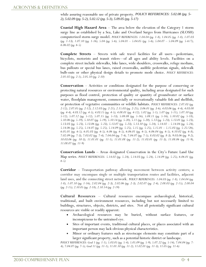while assuring reasonable use of private property. *POLICY REFERENCES: 5.02.08 (pg. 5- 2), 5.02.09 (pg. 5-2), 5.02.12 (pg. 5-3), 5.09.05 (pg. 5-17)*

**Coastal High Hazard Area** – The area below the elevation of the Category 1 storm surge line as established by a Sea, Lake and Overland Surges from Hurricanes (SLOSH) computerized storm surge model. *POLICY REFERENCES: 1.04.04 (pg. 1-8), 1.04.05 (pg. 1-8), 1.07.03 (pg. 1-13), 1.07.10 (pg. 1-16), 5.04 (pg. 5-6), 5.04.01 – 5.04.05 (pg. 5-6), 5.04.07 – 5.04.09 (pg. 5-6/7), 6.06.02 (pg. 6-5)* 

**Complete Streets** – Streets with safe travel facilities for all users—pedestrians, bicyclists, motorists and transit riders—of all ages and ability levels. Facilities on a complete street include sidewalks, bike lanes, wide shoulders, crosswalks, refuge medians, bus pullouts or special bus lanes, raised crosswalks, audible pedestrian signals, sidewalk bulb-outs or other physical design details to promote mode choice. *POLICY REFERENCES: 2.01.02 (pg. 2-1), 2.05.10 (pg. 2-10)*

**Conservation** – Activities or conditions designated for the purpose of conserving or protecting natural resources or environmental quality, including areas designated for such purposes as flood control, protection of quality or quantity of groundwater or surface water, floodplain management, commercially or recreationally valuable fish and shellfish, or protection of vegetative communities or wildlife habitats. *POLICY REFERENCES: 2.07.03 (pg. 2-12), 2.07.05 (pg. 2-12), 2.12.03 (pg. 2-21), 2.15.03 (pg. 2-25), 3.06.01 (pg. 3-6), 4.03.06 (pg. 4-4), 4.03.08 (pg. 4-4), 4.03.12 (pg. 4-5), 4.03.15 (pg. 4-5), 4.08.01 (pg. 4-12), 5.02 (pg. 5-1), 5.07 (pg. 5-11), 5.07.10 (pg. 5-12), 5.07.12 (pg. 5-12), 5.07.15 (pg. 5-13), 5.08.08 (pg. 5-16), 5.08.11 (pg. 5-16), 5.10.02 (pg. 5-18), 5.10.06 (pg. 5-19), 5.10.07 (pg. 5-19), 5.10.14 (pg. 5-20), 5.11 (pg. 5-20), 5.13 (pg. 5-23), 5.13.01 (pg. 5-23), 5.13.03 (pg. 5-23), 5.13.06 (pg. 5-23), 5.13.07 (pg. 5-23), 5.13.10 (pg. 5-24), 5.14.02 – 5.14.04 (pg. 5-24), 5.14.06 (pg. 5-25), 5.14.07 (pg. 5-25), 5.14.09 (pg. 5-25), 5.15 (pg. 5-25), 5.15.01 – 5.15.03 (pg. 5-25/26), 6.05.01 (pg. 6-5), 6.05.03 (pg. 6-5), 6.06 (pg. 6-5), 6.06.01 (pg. 6-5), 6.06.04 (pg. 6-5), 6.10.02 (pg. 6-8), 7.02.09 (pg. 7-3), 7.03.02 (pg. 7-4), 7.04.04 (pg. 7-4), 7.04.07 (pg. 7-5), 8.03.02 (pg. 8-3), 9.03.06 (pg. 9-2), 10.03.06 (pg. 10-3), 11.01.01 (pg. 11-1), 11.01.08 (pg. 11-2), 11.03.01 (pg. 11-3), 11.08.06 (pg. 11-9), 11.08.07 (pg. 11-9)*

**Conservation Lands** – Areas designated Conservation in the City's Future Land Use Map series. *POLICY REFERENCES: 5.14.02 (pg. 5-24), 5.14.03 (pg. 5-24), 5.14.09 (pg. 5-25), 6.06.01 (pg. 6-5)*

**Corridor** – Transportation pathway allowing movement between activity centers; a corridor may encompass single or multiple transportation routes and facilities, adjacent land uses, and the connecting street network. *POLICY REFERENCES: 1.04.03 (pg. 1-8), 1.04.04 (pg. 1-8), 1.07.10 (pg. 1-16), 2.02.04 (pg. 2-3), 2.02.06 (pg. 2-3), 2.02.07 (pg. 2-4), 2.08.03 (pg. 2-15), 2.08.04 (pg. 2-15), 2.10.05 (pg. 2-18), 2.10.14 (pg. 2-19)*

**Cultural Resources** – Cultural resources encompass archaeological, historical, traditional, and built environment resources, including but not necessarily limited to buildings, structures, objects, districts, and sites. Not all potentially significant cultural resources are visible or readily apparent:

- Archaeological resources may be buried, without surface features, or inconspicuous to the untrained eye.
- Sites of important events, traditional cultural places, or places associated with an important person may lack obvious physical characteristics.
- Minor or ordinary features such as streetscape elements may constitute part of a larger significant property, such as a potential historic district or landscape.

*POLICY REFERENCES: Goal 1 (pg. 1-1), 5.03.05 (pg. 5-4), 5.05.09 (pg. 5-9), 5.07.22 (pg. 5-14), 7.04.04 (pg. 7- 4), 7.04.07 (pg. 7-5), Goal 11 (pg. 11-1), 11.01.10 (pg. 11-2), 11.02.01 (pg. 11-3), 11.05 (pg. 11-6)*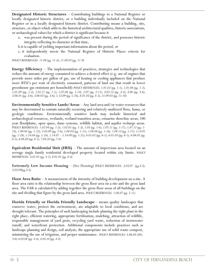**Designated Historic Structures** – Contributing buildings to a National Register or locally designated historic district, or a building individually included on the National Register or in a locally designated historic district. Contributing means a building, site, structure, or object which adds to the historical architectural qualities, historic associations, or archaeological values for which a district is significant because it

- a. was present during the period of significance of the district, and possesses historic integrity reflecting its character at that time,
- b.it is capable of yielding important information about the period, or
- c. it independently meets the National Register of Historic Places criteria for evaluation.

*POLICY REFERENCES: 11.08 (pg. 11-8), 11.08.02 (pg. 11-9)*

**Energy Efficiency** – The implementation of practices, strategies and technologies that reduce the amount of energy consumed to achieve a desired effect (e.g. use of engines that provide more miles per gallon of gas, use of heating or cooling appliances that produce more BTU's per watt of electricity consumed, patterns of land use that result in lower greenhouse gas emissions per household) *POLICY REFERENCES: 1.01.02 (pg. 1-1), 1.01.06 (pg. 1-2), 1.01.09 (pg. 1-2), 1.02.11 (pg. 1-5), 1.07.06 (pg. 1-14), 2.07 (pg. 2-11), 3.03.13 (pg. 3-4), 3.06 (pg. 3-6), 3.06.01 (pg. 3-6), 3.06.02 (pg. 3-6), 5.13.09 (pg. 5-24), 8.01.03 (pg. 8-2), 11.09.03 (pg. 11-10)* 

**Environmentally Sensitive Lands/Areas** – Any land area and/or water resources that may be determined to contain naturally occurring and relatively unaltered flora, fauna, or geologic conditions. Environmentally sensitive lands may include historical and archaeological resources, wetlands, wetland transition areas, estuarine shoreline areas; 100 year floodplains, open space, dune systems, wildlife habitat, and aquifer recharge areas. *POLICY REFERENCES: 1.02.04 (pg. 1-3), 1.02.05 (pg. 1-3), 1.03 (pg. 1-6), 1.07.11 (pg. 1-17), 1.07.12 (pg. 1- 18), 1.09.04 (pg. 1-22), 2.03.09 (pg. 2-6), 5.08.03 (pg. 5-15), 5.08.08 (pg. 5-16), 5.08.13 (pg. 5-17), 5.14.01 (pg. 5-24), 5.14.04 (pg. 5-24), 5.14.07 – 5.14.09 (pg. 5-25), 6.05.02 (pg. 6-5), 6.05.03 (pg. 6-5), 6.06.01 (pg. 6-5), 6.06.04 (pg. 6-5), 7.04.10 (pg. 7-6)*

**Equivalent Residential Unit (ERU)** – The amount of impervious area located on an average single family residential developed property located within city limits. *POLICY REFERENCES: 4.01.01 (pg. 4-1), 8.05.01 (pg. 8-4)*

**Extremely Low Income Housing** – (See Housing) *POLICY REFERENCES: 3.03.07 (pg.3-3), 3.03.09(pg.3-3)*

**Floor Area Ratio** – A measurement of the intensity of building development on a site. A floor area ratio is the relationship between the gross floor area on a site and the gross land area. The FAR is calculated by adding together the gross floor areas of all buildings on the site and dividing that figure by the gross land area. *POLICY REFERENCES: 1.06.07 (pg. 1-11)*

**Florida Friendly or Florida Friendly Landscape** – means quality landscapes that conserve water, protect the environment, are adaptable to local conditions, and are drought tolerant. The principles of such landscaping include planting the right plant in the right place, efficient watering, appropriate fertilization, mulching, attraction of wildlife, responsible management of yard pests, recycling yard waste, reduction of stormwater runoff, and waterfront protection. Additional components include practices such as landscape planning and design, soil analysis, the appropriate use of solid waste compost, minimizing the use of irrigation, and proper maintenance. *POLICY REFERENCES:* 3.06.03 (PG. 3-6) *4.03.08 (pg. 4-4), 4.03.10 (pg. 4-4)*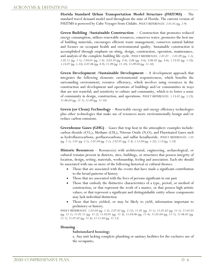**Florida Standard Urban Transportation Model Structure (FSUTMS)** – The standard travel demand model used throughout the state of Florida. The current version of FSUTMS is powered by Cube Voyager from Citilabs. *POLICY REFERENCES: 2.05.05 (pg. 2-9)*

**Green Building** /**Sustainable Construction** – Construction that promotes reduced energy consumption, utilizes renewable resources, conserves water, promotes the best use of building materials, encourages efficient waste management, conserves natural habitat and focuses on occupant health and environmental quality. Sustainable construction is accomplished through emphasis on siting, design, construction, operation, maintenance, and analysis of the complete building life cycle. *POLICY REFERENCES: 1.01.07 – 1.01.09 (pg. 1-2), 1.02.11 (pg. 1-5), 1.04.05 (pg. 1-8), 3.03.10 (pg. 3-4), 3.06 (pg. 3-6), 3.06.02 (pg. 3-6), 5.13.02 (pg. 5-23), 5.13.07 (pg. 5-23), 8.07.06 (pg. 8-9), 11.09 (pg. 11-10), 11.09.04 (pg. 11-10)*

**Green Development /Sustainable Development** – A development approach that integrates the following elements: environmental responsiveness, which benefits the surrounding environment; resource efficiency, which involves using resources in the construction and development and operations of buildings and/or communities in ways that are not wasteful; and sensitivity to culture and community, which is to foster a sense of community in design, construction, and operations. *POLICY REFERENCES: 5.13.02 (pg. 5-23), 11.06.03 (pg. 11-7), 11.09 (pg. 11-10)*

**Green (or Clean) Technology** – Renewable energy and energy efficiency technologies plus other technologies that make use of resources more environmentally benign and/or reduce carbon emissions.

**Greenhouse Gases (GHG)** – Gases that trap heat in the atmosphere examples include: carbon dioxide  $(CO_2)$ , Methane  $(CH_4)$ , Nitrous Oxide  $(N_2O)$ , and Fluorinated Gases such as hydrofluorocarbons, perfluorocarbons, and sulfur hexafluoride. *POLICY REFERENCES: 1.01 (pg. 1-1), 2.01 (pg. 2-1), 2.01.04 (pg. 2-1), 2.02.05 (pg. 2-3), 5.12.04 (pg. 5-22), 5.13 (pg. 5-23)*

**Historic Resources** – Resource(s) with architectural, engineering, archaeological, or cultural remains present in districts, sites, buildings, or structures that possess integrity of location, design, setting, materials, workmanship, feeling and association. Each site should be associated with one or more of the following historical or cultural themes:

- Those that are associated with the events that have made a significant contribution to the broad patterns of history
- Those that are associated with the lives of persons significant in our past
- Those that embody the distinctive characteristics of a type, period, or method of construction, or that represent the work of a master, or that possess high artistic values; or that represent a significant and distinguishable entity whose components may lack individual distinction
- Those that have yielded, or may be likely to yield, information important to prehistory or history.

*POLICY REFERENCES: 1.02.04 (pg. 1-3), 2.07.02 (pg. 2-12), 11.01 (pg. 11-1), 11.01.02 (pg. 11-1), 11.01.05 (pg. 11-1), 11.01.11 (pg. 11-2), 11.03.01 (pg. 11-3), 11.03.06 (pg. 11-4), 11.05.04 (pg. 11-7), 11.06.05 (pg. 11-7), 11.07.02 (pg. 11-8), 11.11.04 (pg. 11-12)*

## **Housing** –

## **Substandard housing:**

a. Any unit lacking complete plumbing or sanitary facilities for the exclusive use of the occupants;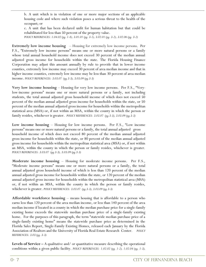b. A unit which is in violation of one or more major sections of an applicable housing code and where such violation poses a serious threat to the health of the occupant; or

c. A unit that has been declared unfit for human habitation but that could be rehabilitated for less than 50 percent of the property value.

*POLICY REFERENCES: 1.04.02 (pg. 1-8), 3.01.01 (pg. 3-1), 3.02.01 (pg. 3-2), 3.02.06 (pg. 3-2)*

**Extremely low income housing** – Housing for extremely low income persons. Per F.S., "Extremely low income persons" means one or more natural persons or a family whose total annual household income does not exceed 30 percent of the median annual adjusted gross income for households within the state. The Florida Housing Finance Corporation may adjust this amount annually by rule to provide that in lower income counties, extremely low income may exceed 30 percent of area median income and that in higher income counties, extremely low income may be less than 30 percent of area median income. *POLICY REFERENCES: 3.03.07 (pg.3-3), 3.03.09 (pg.3-3)*

**Very low income housing** – Housing for very low income persons.Per F.S., "Verylow-income persons" means one or more natural persons or a family, not including students, the total annual adjusted gross household income of which does not exceed 50 percent of the median annual adjusted gross income for households within the state, or 50 percent of the median annual adjusted gross income for households within the metropolitan statistical area (MSA) or, if not within an MSA, within the county in which the person or family resides, whichever is greater. *POLICY REFERENCES: 3.03.07 (pg.3-3), 3.03.09 (pg.3-3)*

**Low income housing** – Housing for low income persons. Per F.S., "Low income persons" means one or more natural persons or a family, the total annual adjusted gross household income of which does not exceed 80 percent of the median annual adjusted gross income for households within the state, or 80 percent of the median annual adjusted gross income for households within the metropolitan statistical area (MSA) or, if not within an MSA, within the county in which the person or family resides, whichever is greater. *POLICY REFERENCES: 3.03.07 (pg.3-3), 3.03.09 (pg.3-3)*

**Moderate income housing** – Housing for moderate income persons. Per F.S., "Moderate income persons" means one or more natural persons or a family, the total annual adjusted gross household income of which is less than 120 percent of the median annual adjusted gross income for households within the state, or 120 percent of the median annual adjusted gross income for households within the metropolitan statistical area (MSA) or, if not within an MSA, within the county in which the person or family resides, whichever is greater. *POLICY REFERENCES: 3.03.07 (pg.3-3), 3.03.09 (pg.3-3)*

**Affordable workforce housing** – means housing that is affordable to a person who earns less than 120 percent of the area median income, or less than 140 percent of the area median income if located in a county in which the median purchase price for a single-family existing home exceeds the statewide median purchase price of a single-family existing home. For the purposes of this paragraph, the term "statewide median purchase price of a single-family existing home" means the statewide purchase price as determined in the Florida Sales Report, Single-Family Existing Homes, released each January by the Florida Association of Realtors and the University of Florida Real Estate Research Center. *POLICY REFERENCES: 3.03 (pg. 3-3)*

**Levels of Service –** A qualitative and/ or quantitative measure describing the operational conditions within a given public facility. *POLICY REFERENCES: 1.02.02 (pg. 1-2), 1.02.04 (pg. 1-3),*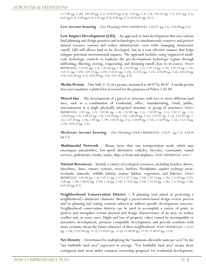*2.11.06 (pg. 2-20), 3.01.06 (pg. 3-1), 6.03.04 (pg. 6-3), 7.03 (pg. 7-3- 7-4), 7.05.01 (pg. 7-7), 8.01 (pg. 8-1), 8.02 (pg 8-2), 8.03 (pg 8-3), 8.05 (pg. 8-4), 8.06 (pg. 8-7),10.01.01 (pg. 10-1)*

**Low income housing** – (See Housing) *POLICY REFERENCES: 3.03.07 (pg.3-3), 3.03.09 (pg.3-3)*

**Low Impact Development (LID)** – An approach to land development that uses various land planning and design practices and technologies to simultaneously conserve and protect natural resource systems and reduce infrastructure costs while managing stormwater runoff. LID still allows land to be developed, but in a cost effective manner that helps mitigate potential environmental impacts. The approach includes using engineered smallscale hydrologic controls to replicate the pre-development hydrologic regime through infiltrating, filtering, storing, evaporating, and detaining runoff close to its source. *POLICY REFERENCES: 1.02.05 (pg. 1-3), 1.02.06 (pg. 1-4), 1.02.09 (pg. 1-5), 1.07.13 (pg. 1-18), 1.07.14 (pg. 1-18), 1.07.15 (pg. 1-19), 1.07.18 (pg. 1-19), 1.10.05 (pg. 1-23), 2.12.05 (pg. 2-21), 4.03.09 (pg. 4-4), 4.03.10 (pg. 4-4), 4.05.06 (pg. 4-7), 4.05.09 (pg. 4-8), 4.05.16 (pg. 4-9)*

**Media Peonia** – One-half (1/2) of a peonia, measured as 46'6" by 46'6". A media peonia does not constitute a platted lot of record for the purposes of Policy 1.05.04.

**Mixed Use** – The development of a parcel or structure with two or more different land uses, such as a combination of residential, office, manufacturing, retail, public, entertainment in a single physically integrated structure or group of structures. *POLICY REFERENCES: 1.01 (pg. 1-1), 1.02.06 (pg. 1-4), 1.02.08 (pg. 1-5), 1.02.09 (pg. 1-5), 1.02.11 (pg. 1-5), 1.04.04 (pg. 1-8), 1.04.05 (pg. 1-8), 1.05.04 (pg. 1-10), 1.06.09 (pg. 1-12), 1.07.01 (pg. 1-13), 1.07.07 (pg. 1- 15), 1.07.10 (pg. 1-16), 1.08 (pg. 1-19), 2.03.05 (pg. 2-5), 2.10.09 (pg. 2-18), 2.13.09 (pg. 2-23), 2.13.14 (pg. 2-23), 3.03.10 (pg. 3-4)*

**Moderate income housing** – (See Housing) *POLICY REFERENCES: 3.03.07 (pg.3-3), 3.03.09 (pg.3-3)*

**Multimodal Network** – Means more than one transportation mode which may encompass automobiles, low-speed alternative vehicles, bicycles, community transit services, pedestrians, trucks, trains, ships or boats and airplanes. *POLICY REFERENCES: GOAL 2*

**Natural Resources** – Include a variety of ecological resources, including beaches, shores, shorelines, dune, estuary systems, rivers, harbors, floodplains, aquifer recharge areas, wetlands, minerals, wildlife habitat, marine habitat, vegetation, and fisheries. *POLICY REFERENCES: 1.02.04 (pg. 1-3), 1.07.11 (pg. 1-17), 1.07.12 (pg. 1-18), 1.07.14 (pg. 1-18), 2.12.03 (pg. 2-21), 5.06 (pg. 5-10), 5.06.02 (pg. 5-10), 5.14 (pg. 5-24), 5.14.02 (pg. 5-24), 5.15.03 (pg. 5-26), 5.15.04 (pg. 5-26), 6.01.04 (pg. 6-2)*

**Neighborhood Conservation District –** A planning tool aimed at protecting a neighborhood's distinctive character through a preservation-based design review process and/or planning and zoning controls tailored to address specific development concerns. Neighborhood conservation districts can be used to accomplish a variety of goals: to protect and strengthen certain physical and design characteristics of an area; to reduce conflict and, in some cases, blight and loss of property values caused by incompatible or insensitive development; promote compatible development; and provide residents with more certainty about the future character of their neighborhood. *POLICY REFERENCES: 1.05.01 (pg. 1-10), 11.01.08 (pg. 11-2), 11.03.01 (pg. 11-3), 11.08.06 (pg. 11-9), 11.08.07 (pg. 11-9)*

**Net Density** – Determined by multiplying the "maximum allowable units per acre" by the "net buildable land area" expressed in acreage. "Net buildable land area" means those contiguous land areas under common ownership proposed for residential development,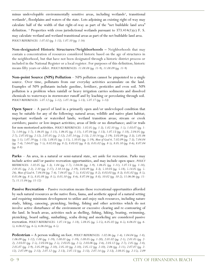minus undevelopable environmentally sensitive areas, including wetlands<sup>1</sup>, transitional wetlands<sup>1</sup>, floodplains and waters of the state. Lots adjoining an existing right-of-way may calculate half of the width of that right-of-way as part of the "net buildable land area" definition. <sup>1</sup> Properties with cross jurisdictional wetlands pursuant to  $373.414(1)(c)$  F. S. may calculate wetland and wetland transitional areas as part of the net buildable land area. *POLICY REFERENCES: 1.07.02 (pg. 1-13), 1.07.10 (pg. 1-16)*

**Non-designated Historic Structures/Neighborhoods –** Neighborhoods that may contain a concentration of resources considered historic based on the age of structures in the neighborhood, but that have not been designated through a historic district process or included in the National Register or a local register. For purposes of this definition; historic means fifty years or older. *POLICY REFERENCES: 11.08.08 (pg. 11-9), 11.08.09 (pg. 11-9)*

**Non-point Source (NPS) Pollution** – NPS pollution cannot be pinpointed to a single source. Over time, pollutants from our everyday activities accumulate on the land. Examples of NPS pollutants include gasoline, fertilizer, pesticides and even soil. NPS pollution is a problem when rainfall or heavy irrigation carries sediments and dissolved chemicals to waterways in stormwater runoff and by leaching or percolating through soil. *POLICY REFERENCES: 5.07.12 (pg. 5-12), 5.07.16 (pg. 5-13), 5.07.17 (pg. 5-13)*

**Open Space** – A parcel of land in a primarily open and/or undeveloped condition that may be suitable for any of the following: natural areas; wildlife and native plant habitat; important wetlands or watershed lands; wetland transition areas; stream or creek corridors; passive or low-impact activities; areas of little or no disturbance; and/or trails for non-motorized activities. *POLICY REFERENCES: 1.02.05 (pg. 1-3), 1.02.10 (pg. 1-5), 1.03.07 (pg. 1- 7), 1.04 (pg. 1-7), 1.06.01 (pg. 1-11), 1.06.05 (pg. 1-11), 1.07.04 (pg. 1-13), 1.07.13 (pg. 1-18), 2.04.05 (pg. 2-7), 2.07.03 (pg. 2-12), 2.07.05 (pg. 2-12), 2.07.14 (pg. 2-13), 2.10.14 (pg. 2-19), 3.03.09 (pg. 3-3), 5.01.06 (pg. 5-1), 5.07.19 (pg. 5-13), 5.08.05 (pg. 5-15), 5.10.05 (pg. 5-19), Most of Goal 6, 7.02.09 (pg. 7-3), 7.04.04 (pg. 7-4), 7.04.07 (pg. 7-5), 8.02.03 (pg. 8-2), 8.03.02 (pg. 8-3), 8.05.02 (pg. 8-5), 8.05.10 (pg. 8-6), 8.07.04 (pg. 8-8)*

**Parks** – An area, in a natural or semi-natural state, set aside for recreation. Parks may include active and/or passive recreation opportunities, and may include open space. *POLICY REFERENCES: 1.02.05 (pg. 1-3), 1.04 (pg. 1-7), 1.04.06 (pg. 1-9), 1.06.05 (pg. 1-11), 1.07.13 (pg. 1-18), 2.01.05 (pg. 2-2), 2.10 (pg. 2-17), 2.10.14 (pg. 2-19), 3.03.09 (pg. 3-3), 5.10.03 (pg. 5-18), 5.14.05 (pg. 5- 24), Most of Goal 6, 7.04.04 (pg. 7-4), 7.04.07 (pg. 7-5), 8.02.02 (pg. 8-2), 8.03.03 (pg. 8-3), 8.05.02 (pg. 8-5), 8.05.06 (pg. 8-5), 8.05.08 (pg. 8-5), 8.05.10 (pg. 8-6), 8.07.04 (pg. 8-8), 10.02 (pg. 10-2), 11.06.06 (pg. 11- 7), 11.11.04 (pg. 11-12)*

**Passive Recreation** – Passive recreation means those recreational opportunities afforded by such natural resources as the native flora, fauna, and aesthetic appeal of a natural setting and requiring minimum development to utilize and enjoy such resources, including nature study, hiking, canoeing, picnicking, birding, fishing and other activities which do not involve active disturbance of the environment or excessive clearing and re-contouring of the land. In beach areas, activities such as shelling, fishing, hiking, boating, swimming, picnicking, board sailing, sunbathing, scuba diving and snorkeling are considered passive recreation. *POLICY REFERENCES: 1.07.14 (pg. 1-18), 5.08.05 (pg. 5-15), 6.05.02 (pg. 6-5), 6.06.01 (pg. 6- 5), 6.06.02 (pg. 6-5), 6.06.04 (pg. 6-5)*

**Pedestrian –** A person walking on foot. *POLICY REFERENCES: 1.02.06 (pg. 1-4), 1.04.04 (pg. 1-8), 1.06.09 (pg. 1-12), 1.08 (pg. 1-19), 1.08.01 (pg. 1-19), 1.08.05 (pg. 1-20), 2.01.02 (pg. 2-1), 2.01.05 (pg. 2- 2), 2.03.01 (pg. 2-5), 2.03.04 (pg. 2-5), 2.03.05 (pg. 2-5), 2.03.06 (pg. 2-6), 2.03.12 (pg. 2-7), 2.05 (pg. 2-8), 2.05.07 (pg. 2-9), 2.05.09 (pg. 2-10), 2.05.10 (pg. 2-10), 2.05.12 (pg. 2-10), 2.06 (pg. 2-11), 2.07.07 (pg. 2- 12), 2.07.09 (pg. 2-13), 2.07.12 (pg. 2-13), 2.07.13 (pg. 2-13), 2.07.14 (pg. 2-13), 2.08.05 (pg. 2-15), 2.09*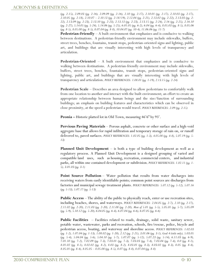*(pg. 2-15), 2.09.03 (pg. 2-16), 2.09.09 (pg. 2-16), 2.10 (pg. 2-17), 2.10.01 (pg. 2-17), 2.10.03 (pg. 2-17), 2.10.05 (pg. 2-18), 2.10.07 – 2.10.13 (pg. 2-18/19), 2.12.04 (pg. 2-21), 2.13.02 (pg. 2-22), 2.13.03 (pg. 2- 22), 2.13.09 (pg. 2-23), 2.13.10 (pg. 2-23), 2.13.13 (pg. 2-23), 2.13.15 (pg. 2-24), 2.16 (pg. 2-25), 2.16.10 (pg. 2-27), 5.14.05 (pg. 5-24), 5.14.06 (pg. 5-25), 6.01.05 (pg. 6-2), 6.04 (pg. 6-4), 8.05.03 (pg. 8-5), 8.05.06 (pg. 8-5), 8.05.08 (pg. 8-5), 8.07.04 (pg. 8-8), 10.04.07 (pg. 10-4), 11.06.06 (pg. 11-7)*

**Pedestrian-Friendly** – A built environment that emphasizes and is conducive to walking between destinations. A pedestrian-friendly environment may include sidewalks, buffers, street trees, benches, fountains, transit stops, pedestrian-oriented signs and lighting, public art, and buildings that are visually interesting with high levels of transparency and articulation.

**Pedestrian-Oriented** – A built environment that emphasizes and is conducive to walking between destinations. A pedestrian-friendly environment may include sidewalks, buffers, street trees, benches, fountains, transit stops, pedestrian-oriented signs and lighting, public art, and buildings that are visually interesting with high levels of transparency and articulation. *POLICY REFERENCES: 1.08.01 (pg. 1-19), 2.13.15 (pg. 2-24)*

**Pedestrian Scale** – Describes an area designed to allow pedestrians to comfortably walk from one location to another and interact with the built environment; an effort to create an appropriate relationship between human beings and the size/function of surrounding buildings; an emphasis on building features and characteristics which can be observed in close proximity, at the speed a pedestrian would travel. *POLICY REFERENCES: 2.09 (pg. 2-15)*

**Peonia –** Historic platted lot in Old Town, measuring 46'6" by 93'.

**Pervious Paving Materials** – Porous asphalt, concrete or other surface and a high-void aggregate base that allows for rapid infiltration and temporary storage of rain on, or runoff delivered to, paved surfaces. *POLICY REFERENCES: 1.02.05 (pg. 1-3), 4.05.08 (pg. 4-8), 5.07.19 (pg. 5- 13)*

**Planned Unit Development** – is both a type of building development as well as a regulatory process. A Planned Unit Development is a designed grouping of varied and compatible [land uses,](http://en.wikipedia.org/wiki/Land_use) such as [housing,](http://en.wikipedia.org/wiki/House) [recreation,](http://en.wikipedia.org/wiki/Recreation) [commercial](http://en.wikipedia.org/wiki/Commerce) centers, and [industrial](http://en.wikipedia.org/wiki/Industrial_park)  [parks,](http://en.wikipedia.org/wiki/Industrial_park) all within one contained development or [subdivision.](http://en.wikipedia.org/wiki/Subdivision_(land)) *POLICY REFERENCES: 1.02.11 (pg. 1- 5), 3.01.03 (pg. 3-1)*

**Point Source Pollution** – Water pollution that results from water discharges into receiving waters from easily identifiable points; common point sources are discharges from factories and municipal sewage treatment plants. *POLICY REFERENCES: 5.07.12 (pg. 5-12), 5.07.16 (pg. 5-13), 5.07.17 (pg. 5-13)*

**Public Access** – The ability of the public to physically reach, enter or use recreation sites, including beaches, shores, and waterways. *POLICY REFERENCES: 2.04.05 (pg. 2-7), 2.10 (pg. 2-17), 2.11.02 (pg. 2-20), 2.11.03 (pg. 2-20), 2.11.08 (pg. 2-20), Most of 5.01 (pg. 5-5), 5.05.01 (pg. 5-7), 5.05.09 (pg. 5-9), 5.10.12 (pg. 5-20), 6.04.05 (pg. 6-4), 6.07.04 (pg. 6-6), 6.07.05 (pg. 6-6)*

**Public Facilities** – Facilities related to roads, drainage, solid waste, sanitary sewer, potable water, wastewater, parks and recreation, schools, fire/rescue, police, bicycle and pedestrian access, boating, and waterway and shoreline access. *POLICY REFERENCES: 1.02.03 (pg. 1-2), 1.07.04 (pg. 1-13), 1.08.02 (pg. 1-20), 2.12 (pg. 2-21), 3.01.06 (pg. 3-1), Goal 4 (title only), 5.03.05 (pg. 5-4), 5.04.04 (pg. 5-6), 5.04.10 (pg. 5-7), 5.07.07 (pg. 5-12), 5.07.23 (pg. 5-14), 6.11.03 (pg. 6-9), 7.01.10 (pg. 7-2), 7.02.09 (pg. 7-3), 7.03.01 (pg. 7-3), 7.03.03 (pg. 7-4), 7.03.04 (pg. 7-4), 8.0 (pg. 8-1), 8.01.02 (pg. 8-1), 8.02.02 (pg. 8-2), 8.03 (pg. 8-2), 8.03.01 (pg. 8-3), 8.03.02 (pg. 8-3), 8.05 (pg. 8-4), 8.05.01 (pg. 8-4), 8.05.05 – 8.05.08 (pg. 8-5), 8.07 (pg. 8-8), 8.07.04 (pg. 8-8)*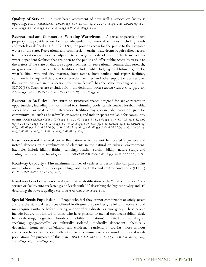**Quality of Service** – A user based assessment of how well a service or facility is operating. *POLICY REFERENCES: 1.02.04 (pg. 1-3), 2.01.05 (pg. 2-2), 2.01.06 (pg. 2-2), 2.02.02 (pg. 2-2), 2.03.03 (pg. 2-5), 2.05 (pg. 2-8), 2.05.07 (pg. 2-9), 2.05.09 (pg. 2-10)*

**Recreational and Commercial Working Waterfront** – A parcel or parcels of real property that provide access for water-dependent commercial activities, including hotels and motels as defined in F.S. [509.242\(](http://www.leg.state.fl.us/statutes/index.cfm?App_mode=Display_Statute&Search_String=&URL=0500-0599/0509/Sections/0509.242.html)1), or provide access for the public to the navigable waters of the state. Recreational and commercial working waterfronts require direct access to or a location on, over, or adjacent to a navigable body of water. The term includes water-dependent facilities that are open to the public and offer public access by vessels to the waters of the state or that are support facilities for recreational, commercial, research, or governmental vessels. These facilities include public lodging establishments, docks, wharfs, lifts, wet and dry marinas, boat ramps, boat hauling and repair facilities, commercial fishing facilities, boat construction facilities, and other support structures over the water. As used in this section, the term "vessel" has the same meaning as in F.S. [327.02\(](http://www.leg.state.fl.us/statutes/index.cfm?App_mode=Display_Statute&Search_String=&URL=0300-0399/0327/Sections/0327.02.html)39). Seaports are excluded from the definition. *POLICY REFERENCES: 2.11.02 (pg. 2-20), 2.11.04 (pg. 2-20), 5.05.09 (pg. 5-9), 5.05.14 (pg. 5-10), 5.05.15 (pg. 5-10)*

**Recreation Facilities** – Structures or structured spaces designed for active recreation opportunities, including but not limited to swimming pools, tennis courts, baseball fields, soccer fields, or boat ramps. Recreation facilities may also include spaces designed for community use, such as boardwalks or gazebos, and indoor spaces available for community events. *POLICY REFERENCES: 1.07.09 (pg. 1-16), 1.07.13 (pg. 1-18), 6.01 (pg. 6-1), 6.01.02 (pg. 6-1), 6.02 (pg. 6-2), 6.02.01 (pg. 6-2), 6.02.05 (pg. 6-3), 6.02.06 (pg. 6-3), 6.03 (pg. 6-3), 6.03.02 (pg. 6-3), 6.03.03 (pg. 6-3), 6.03.05 (pg. 6-3), 6.03.06 (pg. 6-4), 6.03.07 (pg. 6-4), 6.04.02 (pg. 6-4), 6.04.05 (pg. 6-4), 6.04.06 (pg. 6-4), 6.06.07 (pg. 6-6), 6.11.02 (pg. 6-9), 8.05.01 (pg. 8-4)*

**Resource-based Recreation** – Recreation which cannot be located anywhere and instead depends on a combination of elements in the natural or cultural environment. Examples include hiking, fishing, camping, boating, surfing, biking, nature study, and visiting historical or archaeological sites. *POLICY REFERENCES: 5.05.12 (pg. 5-12), 6.01.02 (pg. 6-1)*

**Roadway Capacity - The** maximum number of vehicles or persons that can pass a point on a roadway in an hour under prevailing roadway, traffic and control conditions. (FDOT) *POLICY REFERENCES: 2.08.05 (pg. 2-15)*

**Roadway Level of Service** – A quantitative stratification of the "quality of service" of a service or facility into six letter grade levels with "A" describing the highest quality and "F" describing the lowest quality. *POLICY REFERENCES: 2.09.06 (pg. 2-16)*

**Special Needs Populations** – People who feel they cannot comfortably or safely access and use the standard resources offered in disaster preparedness, relief and recovery, and may require assistance before, during, and/or after a disaster or emergency. These people include but are not limited to those who have physical or mental care needs (blind, deaf, hard-of-hearing, cognitive disorders, mobility limitations), limited or non-English speaking, geographically or culturally isolated, medically dependent, chemically dependent, homeless, frail/elderly, and children. Transients or tourists, those without access to vehicles, and people with pets or service animals are also considered special needs populations for purposes of this plan. *POLICY REFERENCES: 5.03.03 (pg. 5-3), 5.03.04 (pg. 5-4), 5.03.09 (pg. 5-5), 5.04.09 (pg. 5-7)*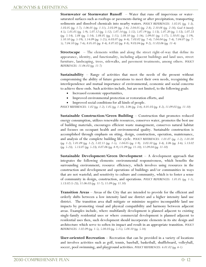**Stormwater or Stormwater Runoff** – Water that runs off impervious or watersaturated surfaces such as rooftops or pavements during or after precipitation, transporting sediments and dissolved chemicals into nearby waters. *POLICY REFERENCES: 1.02.05 (pg. 1-3), 1.03.05 (pg. 1-7), 1.06.01 (pg. 1-11), 2.03.09 (pg. 2-6), 2.04.05 (pg. 2-8), 2.10.08 (pg. 2-18), Goal 4 (mostly 4.5), 5.05.05 (pg. 5-9), 5.07.12 (pg. 5-12), 5.07.14 (pg. 5-12), 5.07.19 (pg. 5-13), 5.07.20 (pg. 5-13), 5.07.23 (pg. 5-14), 5.08 (pg. 5-14), 5.08.05 (pg. 5-15), 5.08.10 (pg. 5-16), 5.09.01 (pg. 5-17), 5.10.05 (pg. 5-19), 5.10.10 (pg. 5-19), 5.14.09 (pg. 5-25), 6.03.07 (pg. 6-4), 7.03.02 (pg. 7-4), 7.04.04 (pg. 7-4), 7.04.07 (pg. 7- 5), 7.04.10 (pg. 7-6), 8.05.01 (pg. 8-4), 8.07.02 (pg. 8-8), 9.03.04 (pg. 9-2), 11.03.06 (pg. 11-4)*

**Streetscape** – The elements within and along the street right-of-way that define its appearance, identity, and functionality, including adjacent buildings and land uses, street furniture, landscaping, trees, sidewalks, and pavement treatments, among others. *POLICY REFERENCES: 11.06.03 (pg. 11-7)*

**Sustainability** – Range of activities that meet the needs of the present without compromising the ability of future generations to meet their own needs, recognizing the interdependence and mutual importance of environmental, economic and social concerns to achieve these ends. Such activities include, but are not limited, to the following goals:

- Increased economic opportunities,
- Improved environmental protection or restoration efforts, and
- Improved social conditions for all kinds of people.

*POLICY REFERENCES: 1.02 (pg. 1-2), 1.05 (pg. 1-10), 3.06 (pg. 3-6), 8.01.03 (pg. 8-2), 11.09.03 (pg. 11-10)*

**Sustainable Construction/Green Building** – Construction that promotes reduced energy consumption, utilizes renewable resources, conserves water, promotes the best use of building materials, encourages efficient waste management, conserves natural habitat and focuses on occupant health and environmental quality. Sustainable construction is accomplished through emphasis on siting, design, construction, operation, maintenance, and analysis of the complete building life cycle. *POLICY REFERENCES: 1.01.07 (pg. 1-2), 1.01.08 (pg. 1-2), 1.01.09 (pg. 1-2), 1.02.11 (pg. 1-5), 1.04.05 (pg. 1-9), 3.03.10 (pg. 3-4), 3.06 (pg. 3-6), 5.13.02 (pg. 5-23), 5.13.07 (pg. 5-23), 8.07.06 (pg. 8-9,) 11.09 (pg. 11-10), 11.09.04 (pg. 11-10)*

**Sustainable Development/Green Development** – A development approach that integrates the following elements: environmental responsiveness, which benefits the surrounding environment; resource efficiency, which involves using resources in the construction and development and operations of buildings and/or communities in ways that are not wasteful; and sensitivity to culture and community, which is to foster a sense of community in design, construction, and operations. *POLICY REFERENCES: 1.01.05 (pg. 1-1), 5.13.02 (5-23), 11.06.03 (pg. 11-7), 11.09 (pg. 11.10)*

**Transition Areas** – Areas of the City that are intended to provide for the efficient and orderly shifts between a low intensity land use district and a higher intensity land use district. The transition area shall mitigate or minimize negative incompatible land use impacts by promoting visual and physical compatibility and harmony between adjacent areas. Examples include, where multifamily development is planned adjacent to existing single-family residential uses or where commercial development is planned adjacent to residential uses then, such development should incorporate elements in its site design and architecture which serve to soften its impact and result in an appropriate transition. *POLICY REFERENCES: 1.02.09 (pg. 1-5), 5.08.03 (pg. 5-15), 5.08.10 (pg. 5-16)*

**User-oriented Recreation** – Recreation that can be provided in a variety of locations and involves activities such as golf, tennis, baseball, basketball, shuffleboard, volleyball, soccer, pool swimming, and playground activities. *POLICY REFERENCES: 6.01.02 (pg. 6-1)*